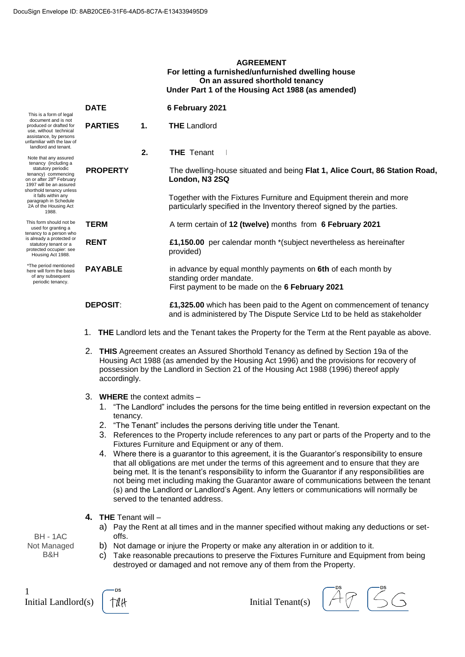#### **AGREEMENT** For letting a furnished/unfurnished dwelling house On an assured shorthold tenancy Under Part 1 of the Housing Act 1988 (as amended)

| This is a form of legal<br>document and is not<br>produced or drafted for<br>use, without technical<br>assistance, by persons<br>unfamiliar with the law of<br>landlord and tenant.<br>Note that any assured<br>tenancy (including a<br>statutory periodic<br>tenancy) commencing<br>on or after 28 <sup>th</sup> February<br>1997 will be an assured<br>shorthold tenancy unless<br>it falls within any<br>paragraph in Schedule<br>2A of the Housing Act<br>1988. | <b>DATE</b>                                                                                                                                                                                                                                                                                     |                                                                                                | 6 February 2021                                                                                                                                   |  |  |  |
|---------------------------------------------------------------------------------------------------------------------------------------------------------------------------------------------------------------------------------------------------------------------------------------------------------------------------------------------------------------------------------------------------------------------------------------------------------------------|-------------------------------------------------------------------------------------------------------------------------------------------------------------------------------------------------------------------------------------------------------------------------------------------------|------------------------------------------------------------------------------------------------|---------------------------------------------------------------------------------------------------------------------------------------------------|--|--|--|
|                                                                                                                                                                                                                                                                                                                                                                                                                                                                     | <b>PARTIES</b>                                                                                                                                                                                                                                                                                  | $\mathbf 1$ .                                                                                  | <b>THE Landlord</b>                                                                                                                               |  |  |  |
|                                                                                                                                                                                                                                                                                                                                                                                                                                                                     |                                                                                                                                                                                                                                                                                                 | 2.                                                                                             | <b>THE</b> Tenant                                                                                                                                 |  |  |  |
|                                                                                                                                                                                                                                                                                                                                                                                                                                                                     | <b>PROPERTY</b>                                                                                                                                                                                                                                                                                 |                                                                                                | The dwelling-house situated and being Flat 1, Alice Court, 86 Station Road,<br>London, N3 2SQ                                                     |  |  |  |
|                                                                                                                                                                                                                                                                                                                                                                                                                                                                     |                                                                                                                                                                                                                                                                                                 |                                                                                                | Together with the Fixtures Furniture and Equipment therein and more<br>particularly specified in the Inventory thereof signed by the parties.     |  |  |  |
| This form should not be<br>used for granting a<br>tenancy to a person who<br>is already a protected or<br>statutory tenant or a<br>protected occupier: see<br>Housing Act 1988.                                                                                                                                                                                                                                                                                     | <b>TERM</b>                                                                                                                                                                                                                                                                                     |                                                                                                | A term certain of 12 (twelve) months from 6 February 2021                                                                                         |  |  |  |
|                                                                                                                                                                                                                                                                                                                                                                                                                                                                     | <b>RENT</b>                                                                                                                                                                                                                                                                                     |                                                                                                | £1,150.00 per calendar month *(subject nevertheless as hereinafter<br>provided)                                                                   |  |  |  |
| *The period mentioned<br>here will form the basis<br>of any subsequent<br>periodic tenancy.                                                                                                                                                                                                                                                                                                                                                                         | <b>PAYABLE</b>                                                                                                                                                                                                                                                                                  |                                                                                                | in advance by equal monthly payments on 6th of each month by<br>standing order mandate.<br>First payment to be made on the 6 February 2021        |  |  |  |
|                                                                                                                                                                                                                                                                                                                                                                                                                                                                     | <b>DEPOSIT:</b>                                                                                                                                                                                                                                                                                 |                                                                                                | £1,325.00 which has been paid to the Agent on commencement of tenancy<br>and is administered by The Dispute Service Ltd to be held as stakeholder |  |  |  |
|                                                                                                                                                                                                                                                                                                                                                                                                                                                                     | 1.                                                                                                                                                                                                                                                                                              | THE Landlord lets and the Tenant takes the Property for the Term at the Rent payable as above. |                                                                                                                                                   |  |  |  |
|                                                                                                                                                                                                                                                                                                                                                                                                                                                                     | 2.<br>THIS Agreement creates an Assured Shorthold Tenancy as defined by Section 19a of the<br>Housing Act 1988 (as amended by the Housing Act 1996) and the provisions for recovery of<br>possession by the Landlord in Section 21 of the Housing Act 1988 (1996) thereof apply<br>accordingly. |                                                                                                |                                                                                                                                                   |  |  |  |
|                                                                                                                                                                                                                                                                                                                                                                                                                                                                     | 3.<br><b>WHERE</b> the context admits $-$<br>"The Landlord" includes the persons for the time being entitled in reversion expectant on the<br>1.<br>tenancy.<br>2. "The Tenant" includes the persons deriving title under the Tenant.                                                           |                                                                                                |                                                                                                                                                   |  |  |  |

- 3. References to the Property include references to any part or parts of the Property and to the Fixtures Furniture and Equipment or any of them.
- 4. Where there is a guarantor to this agreement, it is the Guarantor's responsibility to ensure that all obligations are met under the terms of this agreement and to ensure that they are being met. It is the tenant's responsibility to inform the Guarantor if any responsibilities are not being met including making the Guarantor aware of communications between the tenant (s) and the Landlord or Landlord's Agent. Any letters or communications will normally be served to the tenanted address.
- 4. THE Tenant will
	- a) Pay the Rent at all times and in the manner specified without making any deductions or setoffs.
	- b) Not damage or injure the Property or make any alteration in or addition to it.
	- c) Take reasonable precautions to preserve the Fixtures Furniture and Equipment from being destroyed or damaged and not remove any of them from the Property.

BH - 1AC Not Managed B&H

 $\mathbf{1}$ 

.ne Initial Landlord(s) tah

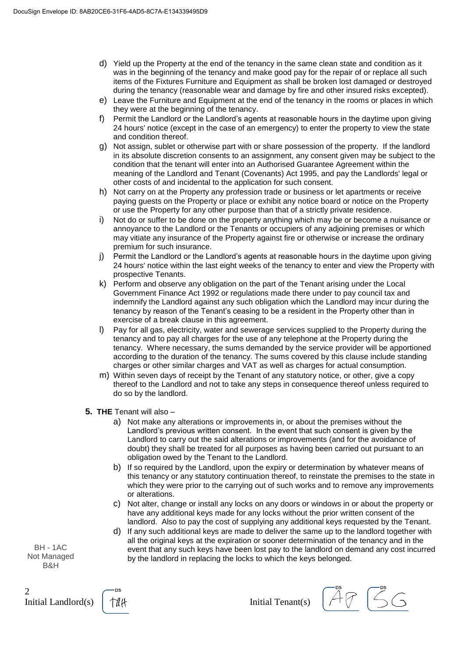- d) Yield up the Property at the end of the tenancy in the same clean state and condition as it was in the beginning of the tenancy and make good pay for the repair of or replace all such items of the Fixtures Furniture and Equipment as shall be broken lost damaged or destroyed during the tenancy (reasonable wear and damage by fire and other insured risks excepted).
- e) Leave the Furniture and Equipment at the end of the tenancy in the rooms or places in which they were at the beginning of the tenancy.
- f) Permit the Landlord or the Landlord's agents at reasonable hours in the daytime upon giving 24 hours' notice (except in the case of an emergency) to enter the property to view the state and condition thereof.
- g) Not assign, sublet or otherwise part with or share possession of the property. If the landlord in its absolute discretion consents to an assignment, any consent given may be subject to the condition that the tenant will enter into an Authorised Guarantee Agreement within the meaning of the Landlord and Tenant (Covenants) Act 1995, and pay the Landlords' legal or other costs of and incidental to the application for such consent.
- h) Not carry on at the Property any profession trade or business or let apartments or receive paying quests on the Property or place or exhibit any notice board or notice on the Property or use the Property for any other purpose than that of a strictly private residence.
- i) Not do or suffer to be done on the property anything which may be or become a nuisance or annoyance to the Landlord or the Tenants or occupiers of any adjoining premises or which may vitiate any insurance of the Property against fire or otherwise or increase the ordinary premium for such insurance.
- j) Permit the Landlord or the Landlord's agents at reasonable hours in the daytime upon giving 24 hours' notice within the last eight weeks of the tenancy to enter and view the Property with prospective Tenants.
- k) Perform and observe any obligation on the part of the Tenant arising under the Local Government Finance Act 1992 or regulations made there under to pay council tax and indemnify the Landlord against any such obligation which the Landlord may incur during the tenancy by reason of the Tenant's ceasing to be a resident in the Property other than in exercise of a break clause in this agreement.
- I) Pay for all gas, electricity, water and sewerage services supplied to the Property during the tenancy and to pay all charges for the use of any telephone at the Property during the tenancy. Where necessary, the sums demanded by the service provider will be apportioned according to the duration of the tenancy. The sums covered by this clause include standing charges or other similar charges and VAT as well as charges for actual consumption.
- m) Within seven days of receipt by the Tenant of any statutory notice, or other, give a copy thereof to the Landlord and not to take any steps in consequence thereof unless required to do so by the landlord.
- 5. THE Tenant will also
	- a) Not make any alterations or improvements in, or about the premises without the Landlord's previous written consent. In the event that such consent is given by the Landlord to carry out the said alterations or improvements (and for the avoidance of doubt) they shall be treated for all purposes as having been carried out pursuant to an obligation owed by the Tenant to the Landlord.
	- b) If so required by the Landlord, upon the expiry or determination by whatever means of this tenancy or any statutory continuation thereof, to reinstate the premises to the state in which they were prior to the carrying out of such works and to remove any improvements or alterations.
	- c) Not alter, change or install any locks on any doors or windows in or about the property or have any additional keys made for any locks without the prior written consent of the landlord. Also to pay the cost of supplying any additional keys requested by the Tenant.
	- d) If any such additional keys are made to deliver the same up to the landlord together with all the original keys at the expiration or sooner determination of the tenancy and in the event that any such keys have been lost pay to the landlord on demand any cost incurred by the landlord in replacing the locks to which the keys belonged.

**BH - 1AC** Not Managed B&H

 $\overline{2}$ Initial Landlord(s)

tûk

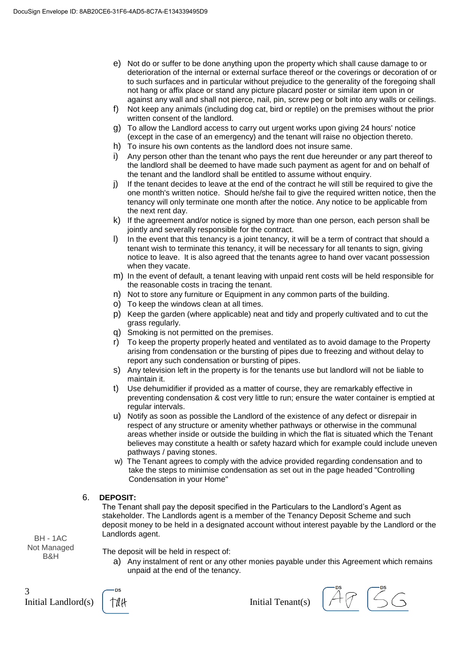- e) Not do or suffer to be done anything upon the property which shall cause damage to or deterioration of the internal or external surface thereof or the coverings or decoration of or to such surfaces and in particular without prejudice to the generality of the foregoing shall not hang or affix place or stand any picture placard poster or similar item upon in or against any wall and shall not pierce, nail, pin, screw peg or bolt into any walls or ceilings.
- f) Not keep any animals (including dog cat, bird or reptile) on the premises without the prior written consent of the landlord.
- g) To allow the Landlord access to carry out urgent works upon giving 24 hours' notice (except in the case of an emergency) and the tenant will raise no objection thereto.
- h) To insure his own contents as the landlord does not insure same.
- i) Any person other than the tenant who pays the rent due hereunder or any part thereof to the landlord shall be deemed to have made such payment as agent for and on behalf of the tenant and the landlord shall be entitled to assume without enquiry.
- $i)$ If the tenant decides to leave at the end of the contract he will still be required to give the one month's written notice. Should he/she fail to give the required written notice, then the tenancy will only terminate one month after the notice. Any notice to be applicable from the next rent day.
- k) If the agreement and/or notice is signed by more than one person, each person shall be jointly and severally responsible for the contract.
- I) In the event that this tenancy is a joint tenancy, it will be a term of contract that should a tenant wish to terminate this tenancy, it will be necessary for all tenants to sign, giving notice to leave. It is also agreed that the tenants agree to hand over vacant possession when they vacate.
- m) In the event of default, a tenant leaving with unpaid rent costs will be held responsible for the reasonable costs in tracing the tenant.
- n) Not to store any furniture or Equipment in any common parts of the building.
- o) To keep the windows clean at all times.
- p) Keep the garden (where applicable) neat and tidy and properly cultivated and to cut the grass regularly.
- q) Smoking is not permitted on the premises.
- r) To keep the property properly heated and ventilated as to avoid damage to the Property arising from condensation or the bursting of pipes due to freezing and without delay to report any such condensation or bursting of pipes.
- s) Any television left in the property is for the tenants use but landlord will not be liable to maintain it.
- t) Use dehumidifier if provided as a matter of course, they are remarkably effective in preventing condensation & cost very little to run; ensure the water container is emptied at regular intervals.
- (u) Notify as soon as possible the Landlord of the existence of any defect or disrepair in respect of any structure or amenity whether pathways or otherwise in the communal areas whether inside or outside the building in which the flat is situated which the Tenant believes may constitute a health or safety hazard which for example could include uneven pathways / paving stones.
- w) The Tenant agrees to comply with the advice provided regarding condensation and to take the steps to minimise condensation as set out in the page headed "Controlling" Condensation in your Home"

# 6. DEPOSIT:

The Tenant shall pay the deposit specified in the Particulars to the Landlord's Agent as stakeholder. The Landlords agent is a member of the Tenancy Deposit Scheme and such deposit money to be held in a designated account without interest payable by the Landlord or the Landlords agent.

BH - 1AC Not Managed B&H

The deposit will be held in respect of:

a) Any instalment of rent or any other monies payable under this Agreement which remains unpaid at the end of the tenancy.

3 Initial Landlord(s)



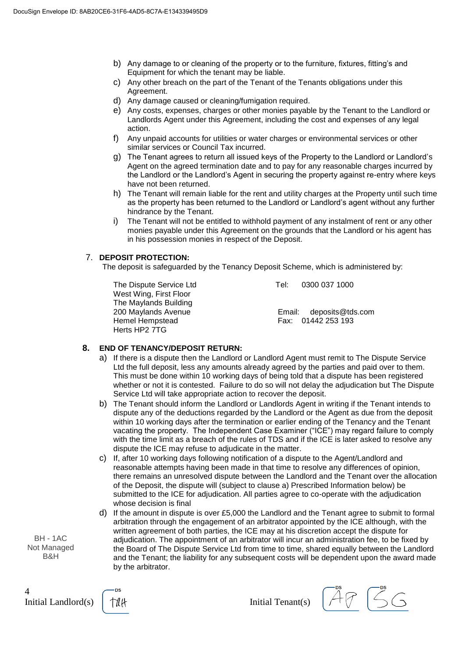- b) Any damage to or cleaning of the property or to the furniture, fixtures, fitting's and Equipment for which the tenant may be liable.
- c) Any other breach on the part of the Tenant of the Tenants obligations under this Agreement.
- d) Any damage caused or cleaning/fumigation required.
- e) Any costs, expenses, charges or other monies payable by the Tenant to the Landlord or Landlords Agent under this Agreement, including the cost and expenses of any legal action.
- f) Any unpaid accounts for utilities or water charges or environmental services or other similar services or Council Tax incurred.
- g) The Tenant agrees to return all issued keys of the Property to the Landlord or Landlord's Agent on the agreed termination date and to pay for any reasonable charges incurred by the Landlord or the Landlord's Agent in securing the property against re-entry where keys have not been returned.
- h) The Tenant will remain liable for the rent and utility charges at the Property until such time as the property has been returned to the Landlord or Landlord's agent without any further hindrance by the Tenant.
- The Tenant will not be entitled to withhold payment of any instalment of rent or any other i) monies payable under this Agreement on the grounds that the Landlord or his agent has in his possession monies in respect of the Deposit.

# 7. DEPOSIT PROTECTION:

The deposit is safeguarded by the Tenancy Deposit Scheme, which is administered by:

The Dispute Service Ltd West Wing, First Floor The Maylands Building 200 Maylands Avenue Hemel Hempstead Herts HP2 7TG

Tel: 0300 037 1000

Email: deposits@tds.com Fax: 01442 253 193

# 8. END OF TENANCY/DEPOSIT RETURN:

- a) If there is a dispute then the Landlord or Landlord Agent must remit to The Dispute Service Ltd the full deposit, less any amounts already agreed by the parties and paid over to them. This must be done within 10 working days of being told that a dispute has been registered whether or not it is contested. Failure to do so will not delay the adjudication but The Dispute Service Ltd will take appropriate action to recover the deposit.
- b) The Tenant should inform the Landlord or Landlords Agent in writing if the Tenant intends to dispute any of the deductions regarded by the Landlord or the Agent as due from the deposit within 10 working days after the termination or earlier ending of the Tenancy and the Tenant vacating the property. The Independent Case Examiner ("ICE") may regard failure to comply with the time limit as a breach of the rules of TDS and if the ICE is later asked to resolve any dispute the ICE may refuse to adjudicate in the matter.
- c) If, after 10 working days following notification of a dispute to the Agent/Landlord and reasonable attempts having been made in that time to resolve any differences of opinion, there remains an unresolved dispute between the Landlord and the Tenant over the allocation of the Deposit, the dispute will (subject to clause a) Prescribed Information below) be submitted to the ICE for adjudication. All parties agree to co-operate with the adjudication whose decision is final
- d) If the amount in dispute is over £5,000 the Landlord and the Tenant agree to submit to formal arbitration through the engagement of an arbitrator appointed by the ICE although, with the written agreement of both parties, the ICE may at his discretion accept the dispute for adjudication. The appointment of an arbitrator will incur an administration fee, to be fixed by the Board of The Dispute Service Ltd from time to time, shared equally between the Landlord and the Tenant; the liability for any subsequent costs will be dependent upon the award made by the arbitrator.

BH - 1AC Not Managed B&H

 $\overline{4}$ Initial Landlord(s)

.ne tûk

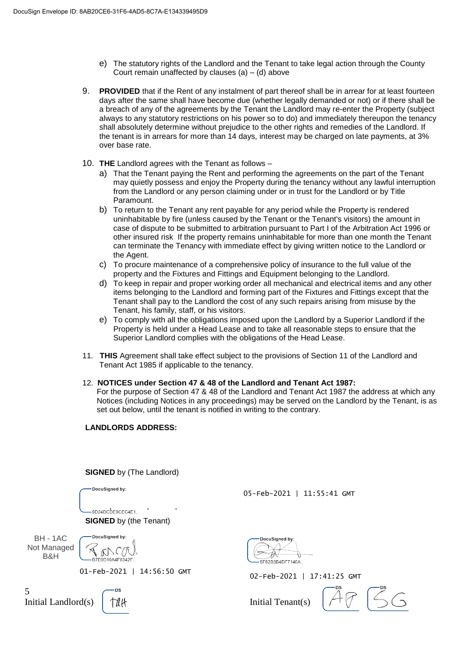- e) The statutory rights of the Landlord and the Tenant to take legal action through the County Court remain unaffected by clauses  $(a) - (d)$  above
- 9. PROVIDED that if the Rent of any instalment of part thereof shall be in arrear for at least fourteen days after the same shall have become due (whether legally demanded or not) or if there shall be a breach of any of the agreements by the Tenant the Landlord may re-enter the Property (subject always to any statutory restrictions on his power so to do) and immediately thereupon the tenancy shall absolutely determine without prejudice to the other rights and remedies of the Landlord. If the tenant is in arrears for more than 14 days, interest may be charged on late payments, at 3% over base rate.
- 10. THE Landlord agrees with the Tenant as follows
	- a) That the Tenant paying the Rent and performing the agreements on the part of the Tenant may quietly possess and enjoy the Property during the tenancy without any lawful interruption from the Landlord or any person claiming under or in trust for the Landlord or by Title Paramount.
	- b) To return to the Tenant any rent payable for any period while the Property is rendered uninhabitable by fire (unless caused by the Tenant or the Tenant's visitors) the amount in case of dispute to be submitted to arbitration pursuant to Part I of the Arbitration Act 1996 or other insured risk If the property remains uninhabitable for more than one month the Tenant can terminate the Tenancy with immediate effect by giving written notice to the Landlord or the Agent.
	- c) To procure maintenance of a comprehensive policy of insurance to the full value of the property and the Fixtures and Fittings and Equipment belonging to the Landlord.
	- d) To keep in repair and proper working order all mechanical and electrical items and any other items belonging to the Landlord and forming part of the Fixtures and Fittings except that the Tenant shall pay to the Landlord the cost of any such repairs arising from misuse by the Tenant, his family, staff, or his visitors.
	- e) To comply with all the obligations imposed upon the Landlord by a Superior Landlord if the Property is held under a Head Lease and to take all reasonable steps to ensure that the Superior Landlord complies with the obligations of the Head Lease.
- 11. THIS Agreement shall take effect subject to the provisions of Section 11 of the Landlord and Tenant Act 1985 if applicable to the tenancy.
- 12. NOTICES under Section 47 & 48 of the Landlord and Tenant Act 1987:
	- For the purpose of Section 47 & 48 of the Landlord and Tenant Act 1987 the address at which any Notices (including Notices in any proceedings) may be served on the Landlord by the Tenant, is as set out below, until the tenant is notified in writing to the contrary.

#### **LANDLORDS ADDRESS:**

**SIGNED** by (The Landlord)

DocuSianed by:

05-Feb-2021 | 11:55:41 GMT

 $-9D24DCDE9CEC4E1...$ **SIGNED** by (the Tenant)

**BH - 1AC** Not Managed B&H

Initial Landlord(s)

5

DocuSianed by:  $QAC$ F0D10A4F8342F

01-Feb-2021 | 14:56:50 GMT

tûk

**DocuSianed by** 5E82B3B4DE7140A

02-Feb-2021 | 17:41:25 GMT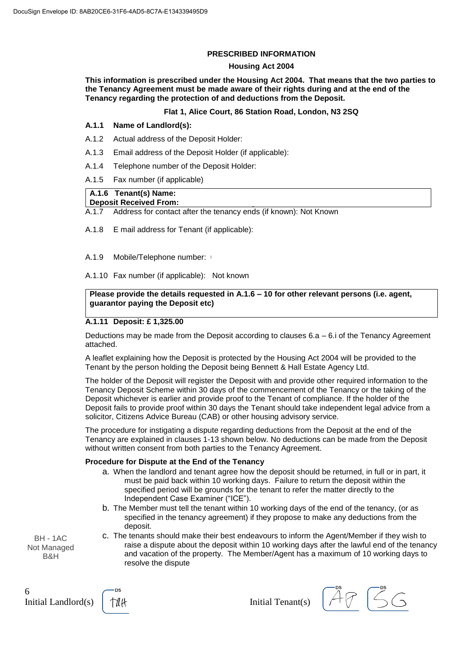# **PRESCRIBED INFORMATION**

#### **Housing Act 2004**

This information is prescribed under the Housing Act 2004. That means that the two parties to the Tenancy Agreement must be made aware of their rights during and at the end of the Tenancy regarding the protection of and deductions from the Deposit.

# Flat 1, Alice Court, 86 Station Road, London, N3 2SQ

#### $A.1.1$ Name of Landlord(s):

- A.1.2 Actual address of the Deposit Holder:
- $A.1.3$ Email address of the Deposit Holder (if applicable):
- $A.1.4$ Telephone number of the Deposit Holder:
- A.1.5 Fax number (if applicable)

# A.1.6 Tenant(s) Name:

# **Deposit Received From:**

Address for contact after the tenancy ends (if known): Not Known  $A.1.7$ 

A.1.8 E mail address for Tenant (if applicable):

A.1.9 Mobile/Telephone number: \

A.1.10 Fax number (if applicable): Not known

# Please provide the details requested in A.1.6 - 10 for other relevant persons (i.e. agent, guarantor paying the Deposit etc)

# A.1.11 Deposit: £1,325.00

Deductions may be made from the Deposit according to clauses 6.a - 6.i of the Tenancy Agreement attached.

A leaflet explaining how the Deposit is protected by the Housing Act 2004 will be provided to the Tenant by the person holding the Deposit being Bennett & Hall Estate Agency Ltd.

The holder of the Deposit will register the Deposit with and provide other required information to the Tenancy Deposit Scheme within 30 days of the commencement of the Tenancy or the taking of the Deposit whichever is earlier and provide proof to the Tenant of compliance. If the holder of the Deposit fails to provide proof within 30 days the Tenant should take independent legal advice from a solicitor, Citizens Advice Bureau (CAB) or other housing advisory service.

The procedure for instigating a dispute regarding deductions from the Deposit at the end of the Tenancy are explained in clauses 1-13 shown below. No deductions can be made from the Deposit without written consent from both parties to the Tenancy Agreement.

#### Procedure for Dispute at the End of the Tenancy

- a. When the landlord and tenant agree how the deposit should be returned, in full or in part, it must be paid back within 10 working days. Failure to return the deposit within the specified period will be grounds for the tenant to refer the matter directly to the Independent Case Examiner ("ICE").
- b. The Member must tell the tenant within 10 working days of the end of the tenancy, (or as specified in the tenancy agreement) if they propose to make any deductions from the deposit.
- c. The tenants should make their best endeavours to inform the Agent/Member if they wish to raise a dispute about the deposit within 10 working days after the lawful end of the tenancy and vacation of the property. The Member/Agent has a maximum of 10 working days to resolve the dispute

BH - 1AC Not Managed B&H

6 Initial Landlord(s)



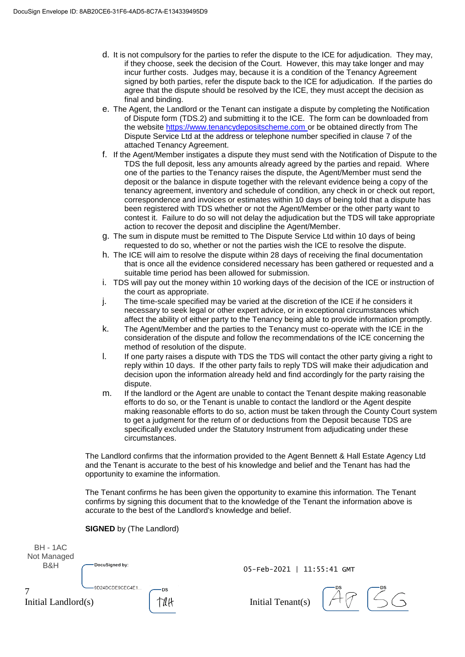- d. It is not compulsory for the parties to refer the dispute to the ICE for adjudication. They may, if they choose, seek the decision of the Court. However, this may take longer and may incur further costs. Judges may, because it is a condition of the Tenancy Agreement signed by both parties, refer the dispute back to the ICE for adjudication. If the parties do agree that the dispute should be resolved by the ICE, they must accept the decision as final and binding.
- e. The Agent, the Landlord or the Tenant can instigate a dispute by completing the Notification of Dispute form (TDS.2) and submitting it to the ICE. The form can be downloaded from the website https://www.tenancydepositscheme.com or be obtained directly from The Dispute Service Ltd at the address or telephone number specified in clause 7 of the attached Tenancy Agreement.
- f. If the Agent/Member instigates a dispute they must send with the Notification of Dispute to the TDS the full deposit, less any amounts already agreed by the parties and repaid. Where one of the parties to the Tenancy raises the dispute, the Agent/Member must send the deposit or the balance in dispute together with the relevant evidence being a copy of the tenancy agreement, inventory and schedule of condition, any check in or check out report, correspondence and invoices or estimates within 10 days of being told that a dispute has been registered with TDS whether or not the Agent/Member or the other party want to contest it. Failure to do so will not delay the adjudication but the TDS will take appropriate action to recover the deposit and discipline the Agent/Member.
- g. The sum in dispute must be remitted to The Dispute Service Ltd within 10 days of being requested to do so, whether or not the parties wish the ICE to resolve the dispute.
- h. The ICE will aim to resolve the dispute within 28 days of receiving the final documentation that is once all the evidence considered necessary has been gathered or requested and a suitable time period has been allowed for submission.
- i. TDS will pay out the money within 10 working days of the decision of the ICE or instruction of the court as appropriate.
- The time-scale specified may be varied at the discretion of the ICE if he considers it j. necessary to seek legal or other expert advice, or in exceptional circumstances which affect the ability of either party to the Tenancy being able to provide information promptly.
- k. The Agent/Member and the parties to the Tenancy must co-operate with the ICE in the consideration of the dispute and follow the recommendations of the ICE concerning the method of resolution of the dispute.
- $\mathbf{L}$ If one party raises a dispute with TDS the TDS will contact the other party giving a right to reply within 10 days. If the other party fails to reply TDS will make their adjudication and decision upon the information already held and find accordingly for the party raising the dispute.
- If the landlord or the Agent are unable to contact the Tenant despite making reasonable m. efforts to do so, or the Tenant is unable to contact the landlord or the Agent despite making reasonable efforts to do so, action must be taken through the County Court system to get a judgment for the return of or deductions from the Deposit because TDS are specifically excluded under the Statutory Instrument from adjudicating under these circumstances.

The Landlord confirms that the information provided to the Agent Bennett & Hall Estate Agency Ltd and the Tenant is accurate to the best of his knowledge and belief and the Tenant has had the opportunity to examine the information.

The Tenant confirms he has been given the opportunity to examine this information. The Tenant confirms by signing this document that to the knowledge of the Tenant the information above is accurate to the best of the Landlord's knowledge and belief.

| <b>BH - 1AC</b><br>Not Managed<br>B&H | DocuSigned by:  |    |
|---------------------------------------|-----------------|----|
| Initial Landlord(s)                   | 9D24DCDE9CEC4E1 | DS |

05-Feb-2021 | 11:55:41 GMT

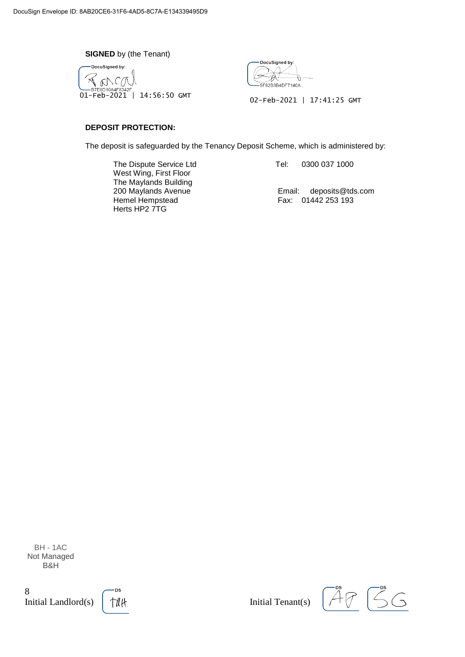**SIGNED** by (the Tenant)





02-Feb-2021 | 17:41:25 GMT

# **DEPOSIT PROTECTION:**

The deposit is safeguarded by the Tenancy Deposit Scheme, which is administered by:

The Dispute Service Ltd West Wing, First Floor The Maylands Building 200 Maylands Avenue Hemel Hempstead Herts HP2 7TG

Tel: 0300 037 1000

Email: deposits@tds.com Fax: 01442 253 193

BH - 1AC Not Managed B&H

 $\,8$ Initial Landlord(s)



 $\overline{\zeta}$ G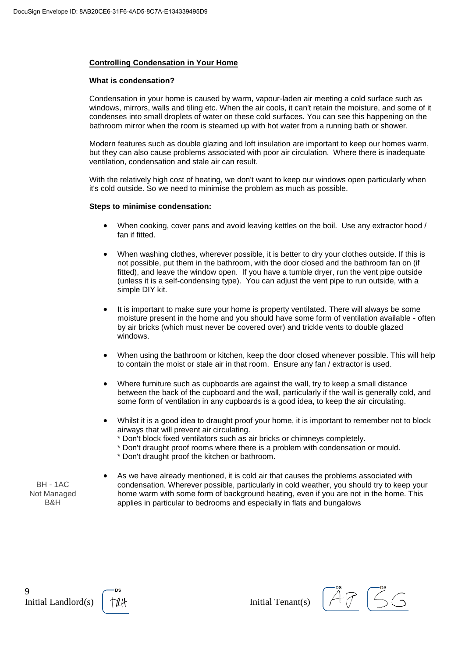# **Controlling Condensation in Your Home**

#### What is condensation?

Condensation in your home is caused by warm, vapour-laden air meeting a cold surface such as windows, mirrors, walls and tiling etc. When the air cools, it can't retain the moisture, and some of it condenses into small droplets of water on these cold surfaces. You can see this happening on the bathroom mirror when the room is steamed up with hot water from a running bath or shower.

Modern features such as double glazing and loft insulation are important to keep our homes warm, but they can also cause problems associated with poor air circulation. Where there is inadequate ventilation, condensation and stale air can result.

With the relatively high cost of heating, we don't want to keep our windows open particularly when it's cold outside. So we need to minimise the problem as much as possible.

#### Steps to minimise condensation:

- When cooking, cover pans and avoid leaving kettles on the boil. Use any extractor hood / fan if fitted.
- When washing clothes, wherever possible, it is better to dry your clothes outside. If this is not possible, put them in the bathroom, with the door closed and the bathroom fan on (if fitted), and leave the window open. If you have a tumble dryer, run the vent pipe outside (unless it is a self-condensing type). You can adjust the vent pipe to run outside, with a simple DIY kit.
- It is important to make sure your home is property ventilated. There will always be some moisture present in the home and you should have some form of ventilation available - often by air bricks (which must never be covered over) and trickle vents to double glazed windows.
- When using the bathroom or kitchen, keep the door closed whenever possible. This will help  $\bullet$ to contain the moist or stale air in that room. Ensure any fan / extractor is used.
- Where furniture such as cupboards are against the wall, try to keep a small distance between the back of the cupboard and the wall, particularly if the wall is generally cold, and some form of ventilation in any cupboards is a good idea, to keep the air circulating.
- Whilst it is a good idea to draught proof your home, it is important to remember not to block airways that will prevent air circulating.
	- \* Don't block fixed ventilators such as air bricks or chimneys completely.
	- \* Don't draught proof rooms where there is a problem with condensation or mould.
	- \* Don't draught proof the kitchen or bathroom.

**BH-1AC** Not Managed B&H

As we have already mentioned, it is cold air that causes the problems associated with condensation. Wherever possible, particularly in cold weather, you should try to keep your home warm with some form of background heating, even if you are not in the home. This applies in particular to bedrooms and especially in flats and bungalows

9 Initial Landlord(s)